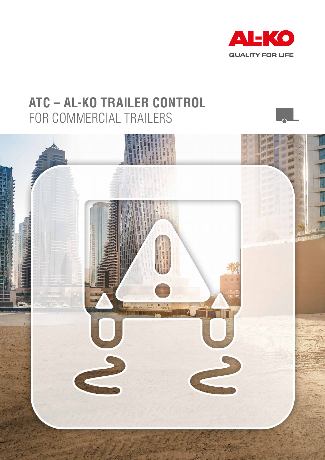

## **ATC – AL-KO TRAILER CONTROL** FOR COMMERCIAL TRAILERS

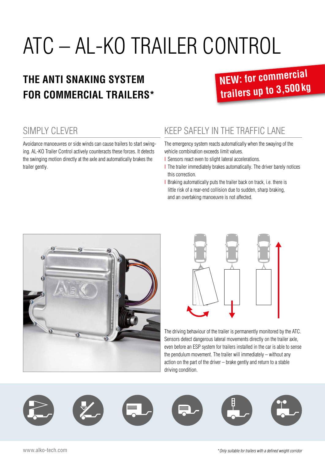# ATC – AL-KO TRAILER CONTROL

### **THE ANTI SNAKING SYSTEM FOR COMMERCIAL TRAILERS\***

# **NEW: for commercial trailers up to 3,500kg**

#### SIMPLY CLEVER

Avoidance manoeuvres or side winds can cause trailers to start swinging. AL-KO Trailer Control actively counteracts these forces. It detects the swinging motion directly at the axle and automatically brakes the trailer gently.

#### KEEP SAFELY IN THE TRAFFIC LANE

The emergency system reacts automatically when the swaying of the vehicle combination exceeds limit values.

- I Sensors react even to slight lateral accelerations.
- I The trailer immediately brakes automatically. The driver barely notices this correction.
- I Braking automatically puts the trailer back on track, i.e. there is little risk of a rear-end collision due to sudden, sharp braking, and an overtaking manoeuvre is not affected.





The driving behaviour of the trailer is permanently monitored by the ATC. Sensors detect dangerous lateral movements directly on the trailer axle, even before an ESP system for trailers installed in the car is able to sense the pendulum movement. The trailer will immediately – without any action on the part of the driver – brake gently and return to a stable driving condition.

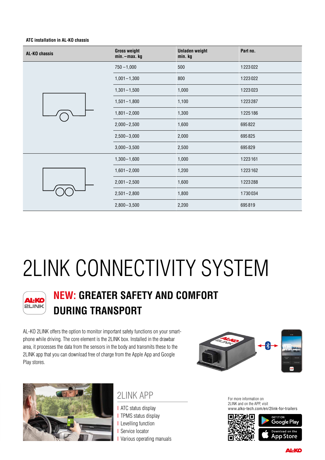#### **ATC installation in AL-KO chassis**

| AL-KO chassis | <b>Gross weight</b><br>min. - max. kg | <b>Unladen weight</b><br>min. kg | Part no. |
|---------------|---------------------------------------|----------------------------------|----------|
|               | $750 - 1,000$                         | 500                              | 1223022  |
|               | $1,001 - 1,300$                       | 800                              | 1223022  |
|               | $1,301 - 1,500$                       | 1,000                            | 1223023  |
|               | $1,501 - 1,800$                       | 1,100                            | 1223287  |
|               | $1,801 - 2,000$                       | 1,300                            | 1225186  |
|               | $2,000 - 2,500$                       | 1,600                            | 695822   |
|               | $2,500 - 3,000$                       | 2,000                            | 695825   |
|               | $3,000 - 3,500$                       | 2,500                            | 695829   |
|               | $1,300 - 1,600$                       | 1,000                            | 1223161  |
|               | $1,601 - 2,000$                       | 1,200                            | 1223162  |
|               | $2,001 - 2,500$                       | 1,600                            | 1223288  |
|               | $2,501 - 2,800$                       | 1,800                            | 1730034  |
|               | $2,800 - 3,500$                       | 2,200                            | 695819   |

# 2LINK CONNECTIVITY SYSTEM



### **NEW: GREATER SAFETY AND COMFORT DURING TRANSPORT**

AL-KO 2LINK offers the option to monitor important safety functions on your smartphone while driving. The core element is the 2LINK box. Installed in the drawbar area, it processes the data from the sensors in the body and transmits these to the 2LINK app that you can download free of charge from the Apple App and Google Play stores.





#### 2LINK APP

**I** ATC status display **I** TPMS status display I Levelling function **I** Service locator I Various operating manuals For more information on 2LINK and on the APP, visit www.alko-tech.com/en/2link-for-trailers



**AL-KO**